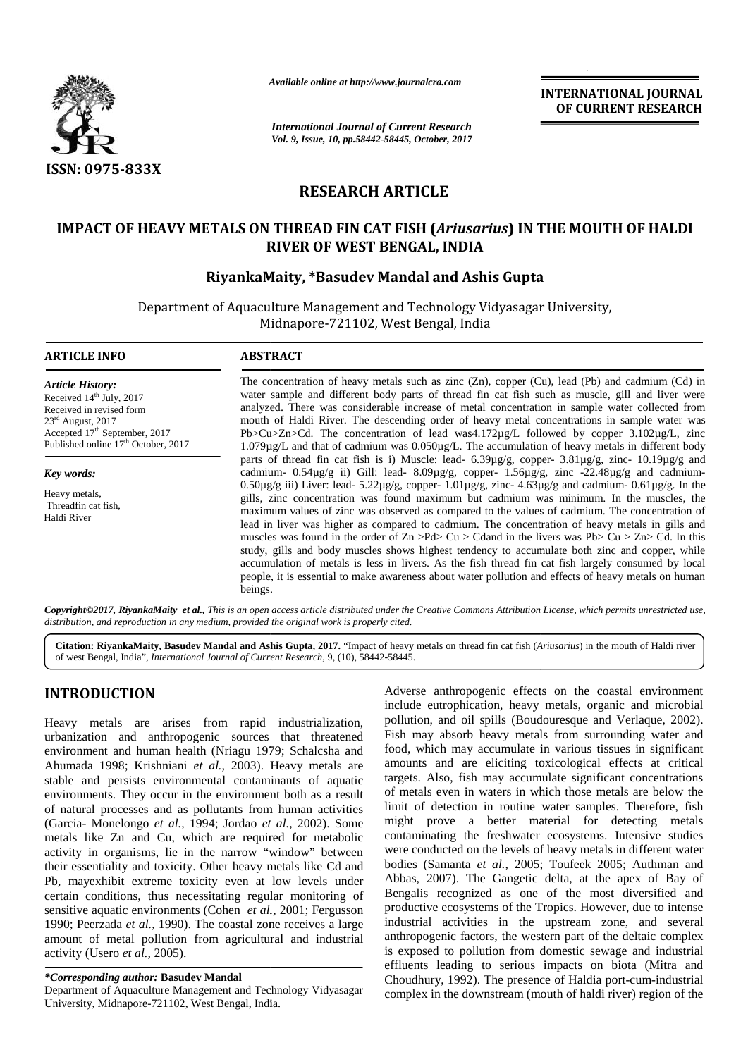

*Available online at http://www.journalcra.com*

*International Journal of Current Research Vol. 9, Issue, 10, pp.58442-58445, October, 2017* **INTERNATIONAL JOURNAL OF CURRENT RESEARCH**

# **RESEARCH ARTICLE**

## **IMPACT OF HEAVY METALS ON THREAD FIN CAT FISH (***Ariusarius***) IN THE MOUTH OF HALDI RIVER OF WEST BENGAL, INDIA**

## **RiyankaMaity, \*Basudev Mandal and Ashis Gupta Mandal**

Department of Aquaculture Management and Technology Vidyasagar University, Midnapore-721102, West Bengal, India

#### **ARTICLE INFO**

*Article History:* Received  $14<sup>th</sup>$  July, 2017 Received in revised form 23rd August, 2017 Accepted 17<sup>th</sup> September, 2017 Published online 17<sup>th</sup> October, 2017

*Key words:*

Heavy metals, Threadfin cat fish, Haldi River

The concentration of heavy metals such as zinc (Zn), copper (Cu), lead (Pb) and cadmium (Cd) in water sample and different body parts of thread fin cat fish such as muscle, gill and liver were analyzed. There was considerable increase of metal concentration in sample water collected from mouth of Haldi River. The descending order of heavy metal concentrations in sample water was Pb>Cu>Zn>Cd. The concentration of lead was4.172µg/L followed by copper 3.102µg/L, zinc 1.079µg/L and that of cadmium was 0.050µg/L. The accumulation of heavy metals in different body parts of thread fin cat fish is i) Muscle: lead- 6.39µg/g, copper- 3.81µg/g, zinc- 10.19µg/g and cadmium-  $0.54\mu$ g/g ii) Gill: lead-  $8.09\mu$ g/g, copper-  $1.56\mu$ g/g, zinc -22.48 $\mu$ g/g and cadmium-0.50µg/g iii) Liver: lead- 5.22µg/g, copper- 1.01µg/g, zinc- 4.63µg/g and cadmium- 0.61µg/g. In the gills, zinc concentration was found maximum but cadmium was minimum. In the muscles, the maximum values of zinc was observed as compared to the values of cadmium. The concentration of lead in liver was higher as compared to cadmium. The concentration of heavy metals in gills and muscles was found in the order of  $Zn > Pd > Cu > Cd$  in the livers was Pb $> Cu > Zn > Cd$ . In this study, gills and body muscles shows highest tendency to accumulate both zinc and copper, while accumulation of metals is less in livers. As the fish thread fin cat fish largely consumed by local people, it is essential to make awareness about water pollution and effects of heavy metals on human beings. The concentration of heavy metals such as zinc (Zn), copper (Cu), lead (Pb) and cadmium (Cd) in water sample and different body parts of thread fin cat fish such as muscle, gill and liver were analyzed. There was consider 0.50µg/g iii) Liver: lead- 5.22µg/g, copper-  $1.01\mu$ g/g, zinc-  $4.63\mu$ g/g and cadmium-  $0.61\mu$ g/g. In the gills, zinc concentration was found maximum but cadmium was minimum. In the muscles, the maximum values of zinc muscles was found in the order of  $Zn > Pd > Cu > Cd$  in the livers was  $Pb > Cu > Zn > Cd$ . In this study, gills and body muscles shows highest tendency to accumulate both zinc and copper, while accumulation of metals is less in livers FIRENCIA CONTRACT OF HEAVY METALS (Normalization Accord of Contract the state of the Contract Contract Contract Contract Contract Contract Contract Contract Contract Contract Contract Contract Contract Contract Contract C different body parts of thread fin cat fish such as muscle, gill and liver were<br>as considerable increase of metal concentration in sample water collected from<br>ver. The descending order of heavy metal concentrations in sam

Copyright©2017, RiyankaMaity et al., This is an open access article distributed under the Creative Commons Attribution License, which permits unrestricted use, *distribution, and reproduction in any medium, provided the original work is properly cited. distribution,* 

**Citation: RiyankaMaity, Basudev Mandal and Ashis Gupta, 2017.** "Impact of heavy metals on thread fin cat fish (*Ariusarius*) in the mouth of Haldi river of west Bengal, India", *International Journal of Current Research*, 9, (10), 58442-58445.

# **INTRODUCTION INTRODUCTION**

Heavy metals are arises from rapid industrialization, urbanization and anthropogenic sources that threatened environment and human health (Nriagu 1979; Schalcsha and Ahumada 1998; Krishniani *et al.,* 2003). Heavy metals are stable and persists environmental contaminants of aquatic target environments. They occur in the environment both as a result of natural processes and as pollutants from human activities lin (Garcia- Monelongo *et al.,* 1994; Jordao *et al.,* 2002). Some (Garcia- Monelongo *et al.*, 1994; Jordao *et al.*, 2002). Some might metals like Zn and Cu, which are required for metabolic con activity in organisms, lie in the narrow "window" between were their essentiality and toxicity. Other heavy metals like Cd and Pb, mayexhibit extreme toxicity even at low levels under certain conditions, thus necessitating regular monitoring of sensitive aquatic environments (Cohen *et al.,* 2001; Fergusson 1990; Peerzada *et al.,* 1990). The coastal zone receives a large amount of metal pollution from agricultural and industrial activity (Usero *et al.,* 2005). Heavy metals are arises from rapid industrialization, I<br>urbanization and anthropogenic sources that threatened  $\frac{1}{2}$ <br>environment and human health (Nriagu 1979; Schalcsha and  $\frac{1}{2}$ <br>Ahumada 1998; Krishniani *et al.* their essentiality and toxicity. Other heavy metals like Cd and Pb, may exhibit extreme toxicity even at low levels under certain conditions, thus necessitating regular monitoring of sensitive aquatic environments (Cohen

#### *\*Corresponding author:* **Basudev Mandal** *\*Corresponding*

Department of Aquaculture Management and Technology Vidyasagar University, Midnapore-721102, West Bengal, India.

Adverse anthropogenic effects on the coastal environment include eutrophication, heavy metals, organic and microbial pollution, and oil spills (Boudouresque and Verlaque, 2002). Fish may absorb heavy metals from surrounding water and food, which may accumulate in various tissues in significant amounts and are eliciting toxicological effects at critical targets. Also, fish may accumulate significant concentrations of metals even in waters in which those metals are below the limit of detection in routine water samples. Therefore, fish might prove a better material for detecting metals contaminating the freshwater ecosystems. Intensive studies were conducted on the levels of heavy metals in different water bodies (Samanta *et al.,* 2005; Toufeek 2005; Authman and Abbas, 2007). The Gangetic delta, at the apex of Bay of Bengalis recognized as one of the most diversified and productive ecosystems of the Tropics. However, due to intense industrial activities in the upstream zone, and several anthropogenic factors, the western part of the deltaic complex is exposed to pollution from domestic sewage and industrial effluents leading to serious impacts on biota (Mitra and Choudhury, 1992). The presence of Haldia port-cum-industrial complex in the downstream (mouth of haldi river) region of the spills (Bouwheavy meta<br>accumulate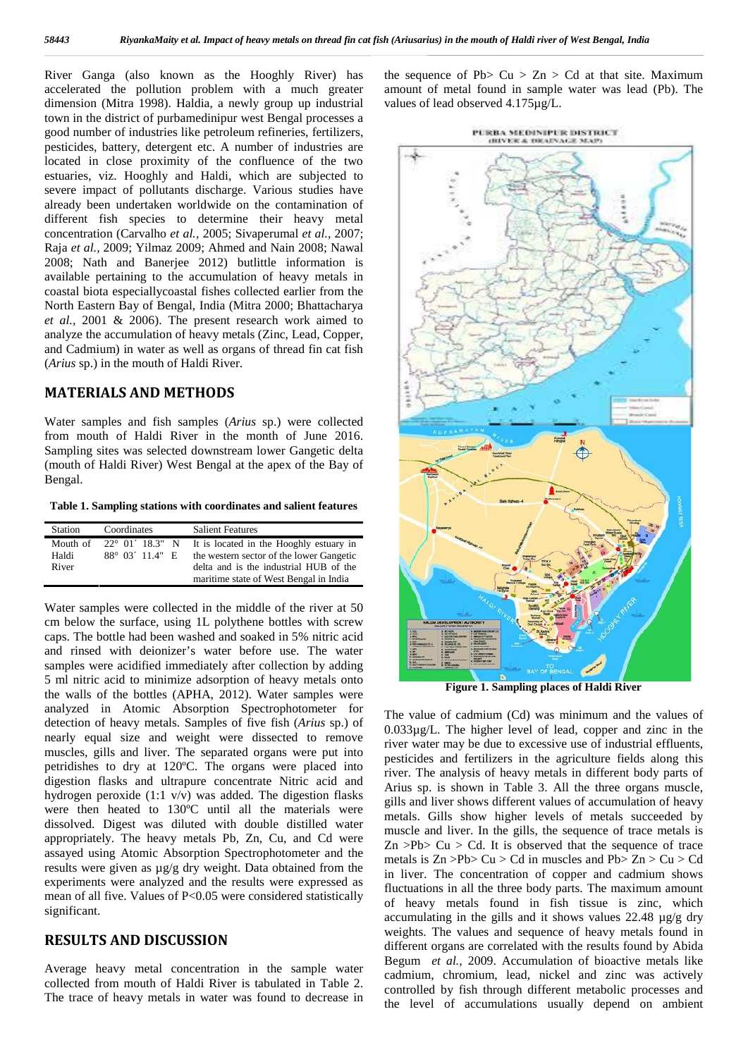River Ganga (also known as the Hooghly River) has accelerated the pollution problem with a much greater dimension (Mitra 1998). Haldia, a newly group up industrial town in the district of purbamedinipur west Bengal processes a good number of industries like petroleum refineries, fertilizers, pesticides, battery, detergent etc. A number of industries are located in close proximity of the confluence of the two estuaries, viz. Hooghly and Haldi, which are subjected to severe impact of pollutants discharge. Various studies have already been undertaken worldwide on the contamination of different fish species to determine their heavy metal concentration (Carvalho *et al.,* 2005; Sivaperumal *et al.,* 2007; Raja *et al.,* 2009; Yilmaz 2009; Ahmed and Nain 2008; Nawal 2008; Nath and Banerjee 2012) butlittle information is available pertaining to the accumulation of heavy metals in coastal biota especiallycoastal fishes collected earlier from the North Eastern Bay of Bengal, India (Mitra 2000; Bhattacharya *et al.,* 2001 & 2006). The present research work aimed to analyze the accumulation of heavy metals (Zinc, Lead, Copper, and Cadmium) in water as well as organs of thread fin cat fish (*Arius* sp.) in the mouth of Haldi River.

## **MATERIALS AND METHODS**

Water samples and fish samples (*Arius* sp.) were collected from mouth of Haldi River in the month of June 2016. Sampling sites was selected downstream lower Gangetic delta (mouth of Haldi River) West Bengal at the apex of the Bay of Bengal.

**Table 1. Sampling stations with coordinates and salient features**

| Station | Coordinates                      | <b>Salient Features</b>                  |
|---------|----------------------------------|------------------------------------------|
|         | Mouth of $22^{\circ}$ 01 18.3" N | It is located in the Hooghly estuary in  |
| Haldi   | $88^{\circ}$ 03 11.4" E          | the western sector of the lower Gangetic |
| River   |                                  | delta and is the industrial HUB of the   |
|         |                                  | maritime state of West Bengal in India   |

Water samples were collected in the middle of the river at 50 cm below the surface, using 1L polythene bottles with screw caps. The bottle had been washed and soaked in 5% nitric acid and rinsed with deionizer's water before use. The water samples were acidified immediately after collection by adding 5 ml nitric acid to minimize adsorption of heavy metals onto the walls of the bottles (APHA, 2012). Water samples were analyzed in Atomic Absorption Spectrophotometer for detection of heavy metals. Samples of five fish (*Arius* sp.) of nearly equal size and weight were dissected to remove muscles, gills and liver. The separated organs were put into petridishes to dry at 120ºC. The organs were placed into digestion flasks and ultrapure concentrate Nitric acid and hydrogen peroxide (1:1 v/v) was added. The digestion flasks were then heated to 130ºC until all the materials were dissolved. Digest was diluted with double distilled water appropriately. The heavy metals Pb, Zn, Cu, and Cd were assayed using Atomic Absorption Spectrophotometer and the results were given as µg/g dry weight. Data obtained from the experiments were analyzed and the results were expressed as mean of all five. Values of P<0.05 were considered statistically significant.

## **RESULTS AND DISCUSSION**

Average heavy metal concentration in the sample water collected from mouth of Haldi River is tabulated in Table 2. The trace of heavy metals in water was found to decrease in the sequence of Pb $> Cu > Zn > Cd$  at that site. Maximum amount of metal found in sample water was lead (Pb). The values of lead observed 4.175µg/L.





**Figure 1. Sampling places of Haldi River**

The value of cadmium (Cd) was minimum and the values of 0.033µg/L. The higher level of lead, copper and zinc in the river water may be due to excessive use of industrial effluents, pesticides and fertilizers in the agriculture fields along this river. The analysis of heavy metals in different body parts of Arius sp. is shown in Table 3. All the three organs muscle, gills and liver shows different values of accumulation of heavy metals. Gills show higher levels of metals succeeded by muscle and liver. In the gills, the sequence of trace metals is  $Zn > Pb > Cu > Cd$ . It is observed that the sequence of trace metals is  $Zn > Pb > Cu > Cd$  in muscles and  $Pb > Zn > Cu > Cd$ in liver. The concentration of copper and cadmium shows fluctuations in all the three body parts. The maximum amount of heavy metals found in fish tissue is zinc, which accumulating in the gills and it shows values 22.48 µg/g dry weights. The values and sequence of heavy metals found in different organs are correlated with the results found by Abida Begum *et al.,* 2009. Accumulation of bioactive metals like cadmium, chromium, lead, nickel and zinc was actively controlled by fish through different metabolic processes and the level of accumulations usually depend on ambient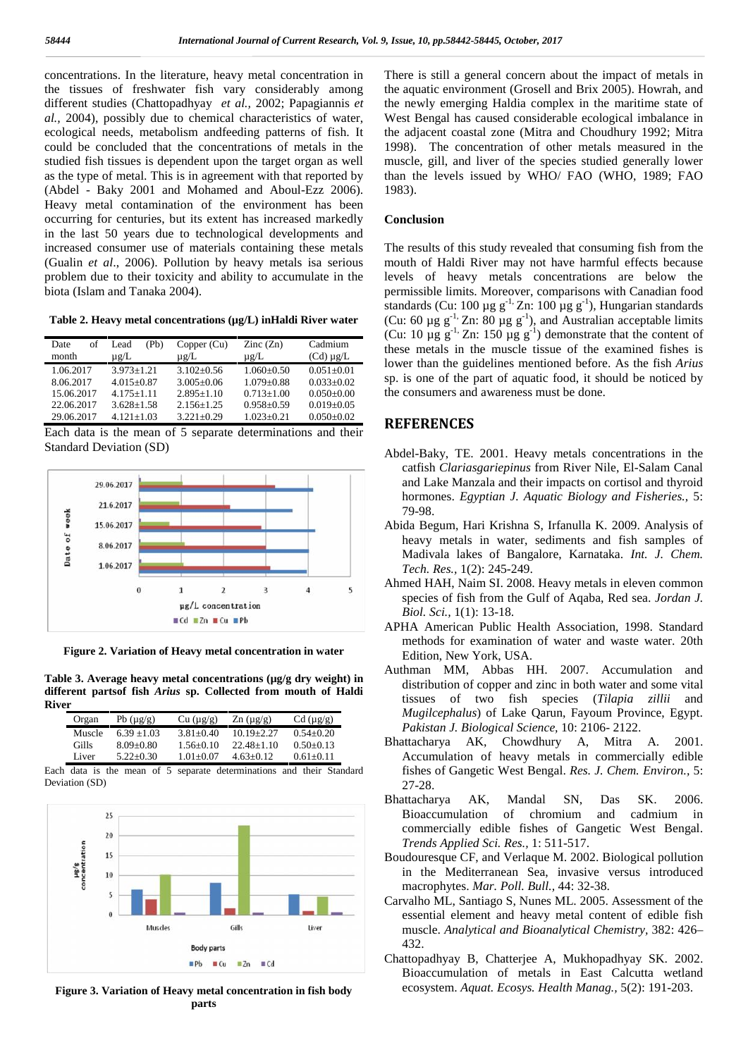concentrations. In the literature, heavy metal concentration in the tissues of freshwater fish vary considerably among different studies (Chattopadhyay *et al.,* 2002; Papagiannis *et al.,* 2004), possibly due to chemical characteristics of water, ecological needs, metabolism andfeeding patterns of fish. It could be concluded that the concentrations of metals in the studied fish tissues is dependent upon the target organ as well as the type of metal. This is in agreement with that reported by (Abdel - Baky 2001 and Mohamed and Aboul-Ezz 2006). Heavy metal contamination of the environment has been occurring for centuries, but its extent has increased markedly in the last 50 years due to technological developments and increased consumer use of materials containing these metals (Gualin *et al*., 2006). Pollution by heavy metals isa serious problem due to their toxicity and ability to accumulate in the biota (Islam and Tanaka 2004).

**Table 2. Heavy metal concentrations (µg/L) inHaldi River water**

| of<br>Date<br>month | Pb)<br>Lead<br>$\mu$ g/L | Copper (Cu)<br>$\mu$ g/L | $\text{Zinc}(\text{Zn})$<br>$\mu$ g/L | Cadmium<br>$(Cd) \mu g/L$ |
|---------------------|--------------------------|--------------------------|---------------------------------------|---------------------------|
| 1.06.2017           | $3.973 + 1.21$           | $3.102 + 0.56$           | $1.060 + 0.50$                        | $0.051 + 0.01$            |
| 8.06.2017           | $4.015 + 0.87$           | $3.005 \pm 0.06$         | $1.079 + 0.88$                        | $0.033 \pm 0.02$          |
| 15.06.2017          | $4.175 + 1.11$           | $2.895+1.10$             | $0.713 + 1.00$                        | $0.050+0.00$              |
| 22.06.2017          | $3.628 \pm 1.58$         | $2.156 \pm 1.25$         | $0.958 \pm 0.59$                      | $0.019 \pm 0.05$          |
| 29.06.2017          | $4.121 + 1.03$           | $3.221 \pm 0.29$         | $1.023 \pm 0.21$                      | $0.050+0.02$              |

Each data is the mean of 5 separate determinations and their Standard Deviation (SD)



**Figure 2. Variation of Heavy metal concentration in water**

**Table 3. Average heavy metal concentrations (µg/g dry weight) in different partsof fish** *Arius* **sp. Collected from mouth of Haldi River**

| Organ  | Pb $(\mu g/g)$ | Cu (µg/g)     | $\text{Zn}$ (µg/g) | $Cd (\mu g/g)$ |
|--------|----------------|---------------|--------------------|----------------|
| Muscle | $6.39 + 1.03$  | $3.81 + 0.40$ | $10.19 + 2.27$     | $0.54 + 0.20$  |
| Gills  | $8.09 + 0.80$  | $1.56 + 0.10$ | $22.48 + 1.10$     | $0.50 + 0.13$  |
| Liver  | $5.22+0.30$    | $1.01 + 0.07$ | $4.63 + 0.12$      | $0.61 + 0.11$  |

Each data is the mean of 5 separate determinations and their Standard Deviation (SD)



**Figure 3. Variation of Heavy metal concentration in fish body parts**

There is still a general concern about the impact of metals in the aquatic environment (Grosell and Brix 2005). Howrah, and the newly emerging Haldia complex in the maritime state of West Bengal has caused considerable ecological imbalance in the adjacent coastal zone (Mitra and Choudhury 1992; Mitra 1998). The concentration of other metals measured in the muscle, gill, and liver of the species studied generally lower than the levels issued by WHO/ FAO (WHO, 1989; FAO 1983).

### **Conclusion**

Cadmium these metals in the muscle tissue of the examined fishes is The results of this study revealed that consuming fish from the mouth of Haldi River may not have harmful effects because levels of heavy metals concentrations are below the permissible limits. Moreover, comparisons with Canadian food standards (Cu: 100 µg g<sup>-1,</sup> Zn: 100 µg g<sup>-1</sup>), Hungarian standards (Cu: 60  $\mu$ g g<sup>-1,</sup> Zn: 80  $\mu$ g g<sup>-1</sup>), and Australian acceptable limits (Cu: 10  $\mu$ g g<sup>-1</sup>, Zn: 150  $\mu$ g g<sup>-1</sup>) demonstrate that the content of lower than the guidelines mentioned before. As the fish *Arius* sp. is one of the part of aquatic food, it should be noticed by the consumers and awareness must be done.

## **REFERENCES**

- Abdel-Baky, TE. 2001. Heavy metals concentrations in the catfish *Clariasgariepinus* from River Nile, El-Salam Canal and Lake Manzala and their impacts on cortisol and thyroid hormones. *Egyptian J. Aquatic Biology and Fisheries.,* 5: 79-98.
- Abida Begum, Hari Krishna S, Irfanulla K. 2009. Analysis of heavy metals in water, sediments and fish samples of Madivala lakes of Bangalore, Karnataka. *Int. J. Chem. Tech. Res.,* 1(2): 245-249.
- Ahmed HAH, Naim SI. 2008. Heavy metals in eleven common species of fish from the Gulf of Aqaba, Red sea. *Jordan J. Biol. Sci.,* 1(1): 13-18.
- APHA American Public Health Association, 1998. Standard methods for examination of water and waste water. 20th Edition, New York, USA.
- Authman MM, Abbas HH. 2007. Accumulation and distribution of copper and zinc in both water and some vital tissues of two fish species (*Tilapia zillii* and *Mugilcephalus*) of Lake Qarun, Fayoum Province, Egypt. *Pakistan J. Biological Science,* 10: 2106- 2122.
- Bhattacharya AK, Chowdhury A, Mitra A. 2001. Accumulation of heavy metals in commercially edible fishes of Gangetic West Bengal. *Res. J. Chem. Environ.,* 5: 27-28.
- Bhattacharya AK, Mandal SN, Das SK. 2006. Bioaccumulation of chromium and cadmium in commercially edible fishes of Gangetic West Bengal. *Trends Applied Sci. Res.,* 1: 511-517.
- Boudouresque CF, and Verlaque M. 2002. Biological pollution in the Mediterranean Sea, invasive versus introduced macrophytes. *Mar. Poll. Bull.,* 44: 32-38.
- Carvalho ML, Santiago S, Nunes ML. 2005. Assessment of the essential element and heavy metal content of edible fish muscle. *Analytical and Bioanalytical Chemistry,* 382: 426– 432.
- Chattopadhyay B, Chatterjee A, Mukhopadhyay SK. 2002. Bioaccumulation of metals in East Calcutta wetland ecosystem. *Aquat. Ecosys. Health Manag.,* 5(2): 191-203.